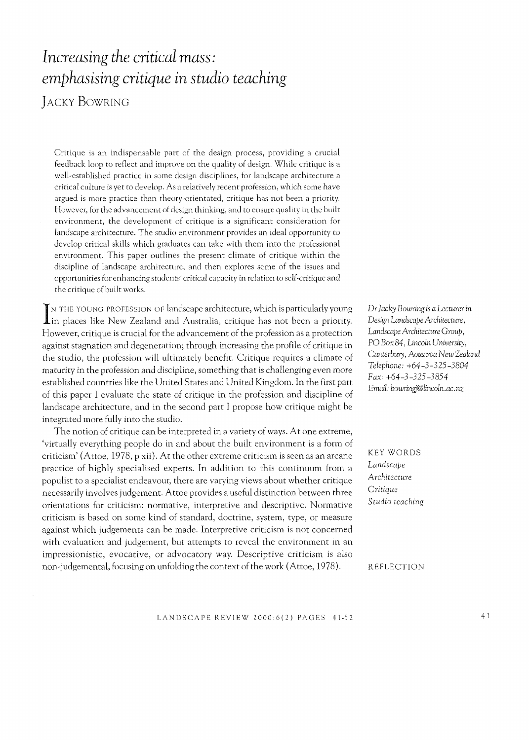# *Increasing the critical mass: emphasising critique in studio teaching*  JACKY BOWRING

Critique is an indispensable part of the design process, providing a crucial feedback loop to reflect and improve on the quality of design. While critique is a well-established practice in some design disciplines, for landscape architecture a critical culture is yet to develop. As a relatively recent profession, which some have argued is more practice than theory-orientated, critique has not been a priority. However, for the advancement of design thinking, and to ensure quality in the built environment, the development of critique is a significant consideration for landscape architecture. The studio environment provides an ideal opportunity to develop critical skills which graduates can take with them into the professional environment. This paper outlines the present climate of critique within the discipline of landscape architecture, and then explores some of the issues and opportunities for enhancing students' critical capacity in relation to self-critique and the critique of built works.

IN THE YOUNG PROFESSION OF landscape architecture, which is particularly young<br>in places like New Zealand and Australia, critique has not been a priority. IN THE YOUNG PROFESSION OF landscape architecture, which is particularly young However, critique is crucial for the advancement of the profession as a protection against stagnation and degeneration; through increasing the profile of critique in the studio, the profession will ultimately benefit. Critique requires a climate of maturity in the profession and discipline, something that is challenging even more established countries like the United States and United Kingdom. In the first part of this paper I evaluate the state of critique in the profession and discipline of landscape architecture, and in the second part I propose how critique might be integrated more fully into the studio.

The notion of critique can be interpreted in a variety of ways. At one extreme, 'virtually everything people do in and about the built environment is a form of criticism' (Attoe, 1978, p xii). At the other extreme criticism is seen as an arcane practice of highly specialised experts. In addition to this continuum from a populist to a specialist endeavour, there are varying views about whether critique necessarily involves judgement. Attoe provides a useful distinction between three orientations for criticism: normative, interpretive and descriptive. Normative criticism is based on some kind of standard, doctrine, system, type, or measure against which judgements can be made. Interpretive criticism is not concerned with evaluation and judgement, but attempts to reveal the environment in an impressionistic, evocative, or advocatory way. Descriptive criticism is also non-judgemental, focusing on unfolding the context of the work (Attoe, 1978).

Dr *Jacky Bowring is a Lecturer* in *Design Landscaj)e Architecture,*  Landscape Architecture Group, PO *Box* 84, *Lincoln University, Canterbury, Aotearoa New Zealand Telephone: +64-3-325-3804 Fax: +64-3-325-3854 Email: bowringj@lincoln.ac.nz* 

KEY WORDS Landscape *Architecture Critique Studio teaching* 

REFLECTION

LANDSCAPE REVIEW 2000:6(2) PAGES 41-52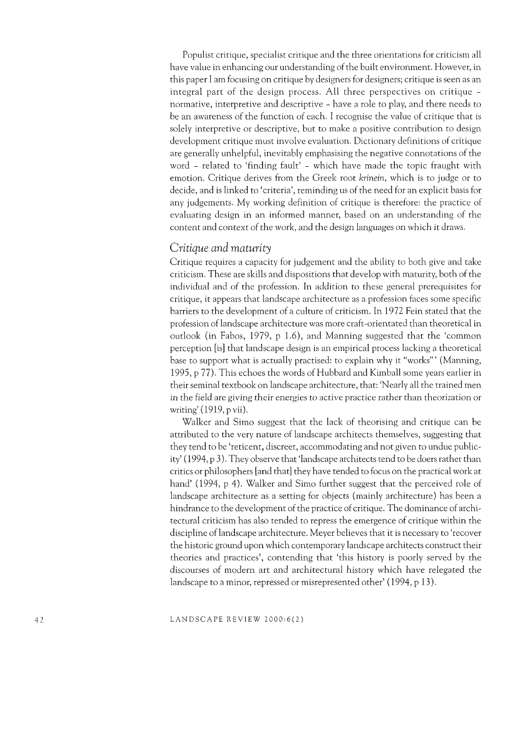Populist critique, specialist critique and the three orientations for criticism all have value in enhancing our understanding of the built environment. However, in this paper I am focusing on critique by designers for designers; critique is seen as an integral part of the design process. All three perspectives on critique normative, interpretive and descriptive - have a role to play, and there needs to be an awareness of the function of each. I recognise the value of critique that is solely interpretive or descriptive, but to make a positive contribution to design development critique must involve evaluation. Dictionary definitions of critique are generally unhelpful, inevitably emphasising the negative connotations of the word - related to 'finding fault' - which have made the topic fraught with emotion. Critique derives from the Greek root krinein, which is to judge or to decide, and is linked to 'criteria', reminding us of the need for an explicit basis for any judgements. My working definition of critique is therefore: the practice of evaluating design in an informed manner, based on an understanding of the content and context of the work, and the design languages on which it draws.

## *Critique and maturity*

Critique requires a capacity for judgement and the ability to both give and take criticism. These are skills and dispositions that develop with maturity, both of the individual and of the profession. In addition to these general prerequisites for critique, it appears that landscape architecture as a profession faces some specific barriers to the development of a culture of criticism. In 1972 Fein stated that the profession oflandscape architecture was more craft-orientated than theoretical in outlook (in Fabos, 1979, p 1.6), and Manning suggested that the 'common perception [is] that landscape design is an empirical process lacking a theoretical base to support what is actually practised: to explain why it "works'" (Manning, 1995, p 77). This echoes the words of Hubbard and Kimball some years earlier in their seminal textbook on landscape architecture, that: 'Nearly all the trained men in the field are giving their energies to active practice rather than theorization or writing' (1919, p vii).

Walker and Simo suggest that the lack of theorising and critique can be attributed to the very nature of landscape architects themselves, suggesting that they tend to be 'reticent, discreet, accommodating and not given to undue publicity' (1994, p 3). They observe that 'landscape architects tend to be doers rather than critics or philosophers [and that] they have tended to focus on the practical work at hand' (1994, p 4). Walker and Simo further suggest that the perceived role of landscape architecture as a setting for objects (mainly architecture) has been a hindrance to the development of the practice of critique. The dominance of architectural criticism has also tended to repress the emergence of critique within the discipline oflandscape architecture. Meyer believes that it is necessary to 'recover the historic ground upon which contemporary landscape architects construct their theories and practices', contending that 'this history is poorly served by the discourses of modern art and architectural history which have relegated the landscape to a minor, repressed or misrepresented other' (1994, p 13).

LANDSCAPE REVIEW 2000:6(2)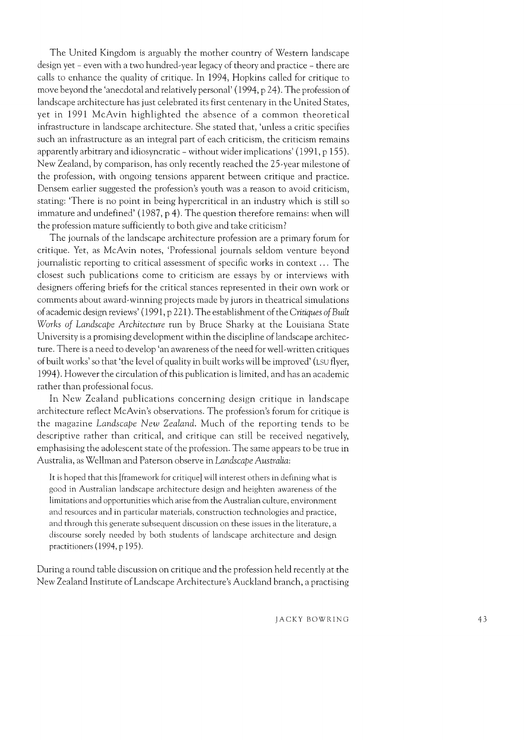The United Kingdom is arguably the mother country of Western landscape design yet - even with a two hundred-year legacy of theory and practice - there are calls to enhance the quality of critique. In 1994, Hopkins called for critique to move beyond the 'anecdotal and relatively personal' (1994, p 24). The profession of landscape architecture has just celebrated its first centenary in the United States, yet in 1991 McAvin highlighted the absence of a common theoretical infrastructure in landscape architecture. She stated that, 'unless a critic specifies such an infrastructure as an integral part of each criticism, the criticism remains apparently arbitrary and idiosyncratic - without wider implications' (1991, p 155). New Zealand, by comparison, has only recently reached the 25-year milestone of the profession, with ongoing tensions apparent between critique and practice. Densem earlier suggested the profession's youth was a reason to avoid criticism, stating: 'There is no point in being hypercritical in an industry which is still so immature and undefined' (1987, p 4). The question therefore remains: when will the profession mature sufficiently to both give and take criticism?

The journals of the landscape architecture profession are a primary forum for critique. Yet, as McAvin notes, 'Professional journals seldom venture beyond journalistic reporting to critical assessment of specific works in context ... The closest such publications come to criticism are essays by or interviews with designers offering briefs for the critical stances represented in their own work or comments about award-winning projects made by jurors in theatrical simulations of academic design reviews' (1991, p 221). The establishment of the *Critiques of Built*  Works of Landscape Architecture run by Bruce Sharky at the Louisiana State University is a promising development within the discipline of landscape architecture. There is a need to develop 'an awareness of the need for well-written critiques of built works' so that 'the level of quality in built works will be improved' (LSU flyer, 1994). However the circulation of this publication is limited, and has an academic rather than professional focus.

In New Zealand publications concerning design critique in landscape architecture reflect McAvin's observations. The profession's forum for critique is the magazine *Landscape New Zealand*. Much of the reporting tends to be descriptive rather than critical, and critique can still be received negatively, emphasising the adolescent state of the profession. The same appears to be true in Australia, as Wellman and Paterson observe in *Landscape Australia*:

It is hoped that this [framework for critique) will interest others in defining what is good in Australian landscape architecture design and heighten awareness of the limitations and opportunities which arise from the Australian culture, environment and resources and in particular materials, construction technologies and practice, and through this generate subsequent discussion on these issues in the literature, a discourse sorely needed by both students of landscape architecture and design practitioners (1994, p 195).

During a round table discussion on critique and the profession held recently at the New Zealand Institute of Landscape Architecture's Auckland branch, a practising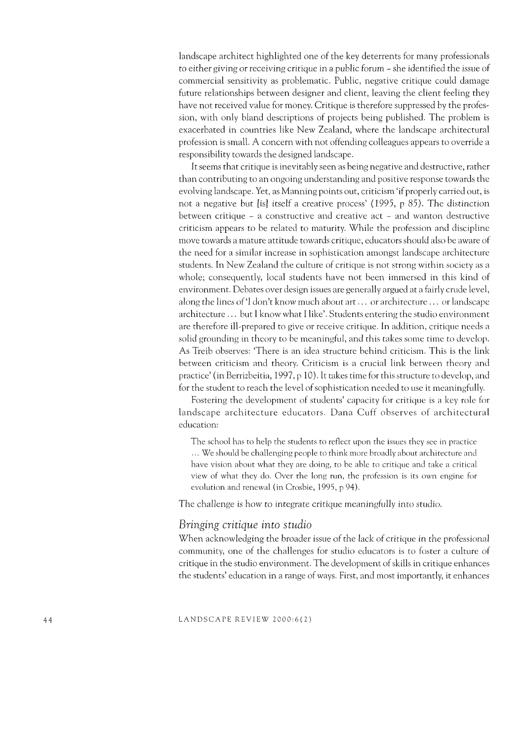landscape architect highlighted one of the key deterrents for many professionals to either giving or receiving critique in a public forum - she identified the issue of commercial sensitivity as problematic. Public, negative critique could damage future relationships between designer and client, leaving the client feeling they have not received value for money. Critique is therefore suppressed by the profession, with only bland descriptions of projects being published. The problem is exacerbated in countries like New Zealand, where the landscape architectural profession is small. A concern with not offending colleagues appears to override a responsibility towards the designed landscape.

It seems that critique is inevitably seen as being negative and destructive, rather than contributing to an ongoing understanding and positive response towards the evolving landscape. Yet, as Manning points out, criticism 'if properly carried out, is not a negative but [is1 itself a creative process' (1995, p 85). The distinction between critique  $-$  a constructive and creative act  $-$  and wanton destructive criticism appears to be related to maturity. While the profession and discipline move towards a mature attitude towards critique, educators should also be aware of the need for a similar increase in sophistication amongst landscape architecture students. In New Zealand the culture of critique is not strong within society as a whole; consequently, local students have not been immersed in this kind of environment. Debates over design issues are generally argued at a fairly crude level, along the lines of 'I don't know much about art  $\ldots$  or architecture  $\ldots$  or landscape architecture ... but I know what I like'. Students entering the studio environment are therefore ill-prepared to give or receive critique. In addition, critique needs a solid grounding in theory to be meaningful, and this takes some time to develop. As Treib observes: 'There is an idea structure behind criticism. This is the link between criticism and theory. Criticism is a crucial link between theory and practice' (in Berrizbeitia, 1997, p 10). It takes time for this structure to develop, and for the student to reach the level of sophistication needed to use it meaningfully.

Fostering the development of students' capacity for critique is a key role for landscape architecture educators. Dana Cuff observes of architectural education:

The school has to help the students to reflect upon the issues they see in practice ... We should be challenging people to think more broadly about architecture and have vision about what they are doing, to be able to critique and take a critical view of what they do. Over the long run, the profession is its own engine for evolution and renewal (in Crosbie, 1995, p 94).

The challenge is how to integrate critique meaningfully into studio.

## *Bringing critique into studio*

When acknowledging the broader issue of the lack of critique in the professional community, one of the challenges for studio educators is to foster a culture of critique in the studio environment. The development of skills in critique enhances the students' education in a range of ways. First, and most importantly, it enhances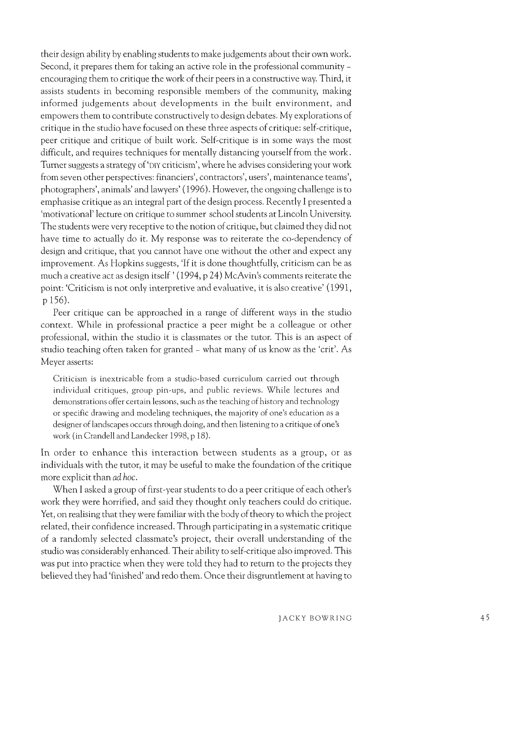their design ability by enabling students to make judgements about their own work. Second, it prepares them for taking an active role in the professional community encouraging them to critique the work of their peers in a constructive way. Third, it assists students in becoming responsible members of the community, making informed judgements about developments in the built environment, and empowers them to contribute constructively to design debates. My explorations of critique in the studio have focused on these three aspects of critique: self-critique, peer critique and critique of built work. Self-critique is in some ways the most difficult, and requires techniques for mentally distancing yourself from the work. Turner suggests a strategy of 'DIY criticism', where he advises considering your work from seven other perspectives: financiers', contractors', users', maintenance teams', photographers', animals' and lawyers' (1996). However, the ongoing challenge is to emphasise critique as an integral part of the design process. Recently I presented a 'motivational' lecture on critique to summer school students at Lincoln University. The students were very receptive to the notion of critique, but claimed they did not have time to actually do it. My response was to reiterate the co-dependency of design and critique, that you cannot have one without the other and expect any improvement. As Hopkins suggests, 'If it is done thoughtfully, criticism can be as much a creative act as design itself' (1994, p 24) McAvin's comments reiterate the point: 'Criticism is not only interpretive and evaluative, it is also creative' (1991, p 156).

Peer critique can be approached in a range of different ways in the studio context. While in professional practice a peer might be a colleague or other professional, within the studio it is classmates or the tutor. This is an aspect of studio teaching often taken for granted - what many of us know as the 'crit'. As Meyer asserts:

Criticism is inextricable from a studio-based curriculum carried out through individual critiques, group pin-ups, and public reviews. While lectures and demonstrations offer certain lessons, such as the teaching of history and technology or specific drawing and modeling techniques, the majority of one's education as a designer of landscapes occurs through doing, and then listening to a critique of one's work (in Crandell and Landecker 1998, p 18).

In order to enhance this interaction between students as a group, or as individuals with the tutor, it may be useful to make the foundation of the critique more explicit than ad *hoc.* 

When I asked a group of first-year students to do a peer critique of each other's work they were horrified, and said they thought only teachers could do critique. Yet, on realising that they were familiar with the body of theory to which the project related, their confidence increased. Through participating in a systematic critique of a randomly selected classmate's project, their overall understanding of the studio was considerably enhanced. Their ability to self-critique also improved. This was put into practice when they were told they had to return to the projects they believed they had 'finished' and redo them. Once their disgruntlement at having to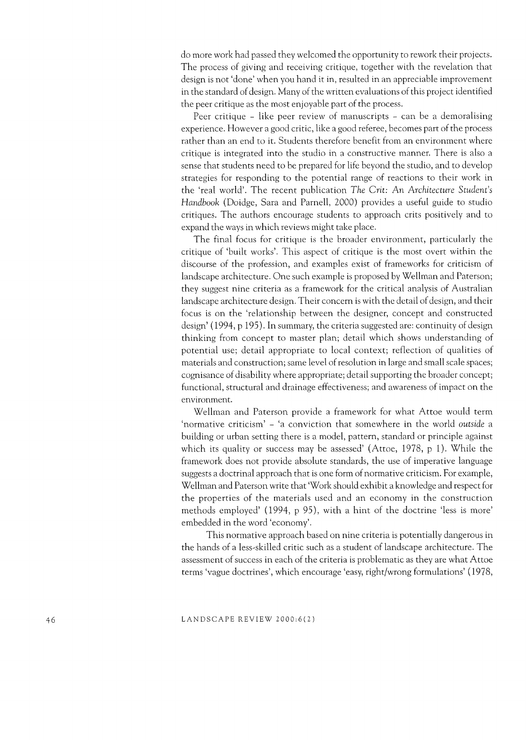do more work had passed they welcomed the opportunity to rework their projects. The process of giving and receiving critique, together with the revelation that design is not 'done' when you hand it in, resulted in an appreciable improvement in the standard of design. Many of the written evaluations of this project identified the peer critique as the most enjoyable part of the process.

Peer critique - like peer review of manuscripts - can be a demoralising experience. However a good critic, like a good referee, becomes part of the process rather than an end to it. Students therefore benefit from an environment where critique is integrated into the studio in a constructive manner. There is also a sense that students need to be prepared for life beyond the studio, and to develop strategies for responding to the potential range of reactions to their work in the 'real world'. The recent publication *The erit:* An *Architecture Student's Handbook* (Doidge, Sara and Parnell, 2000) provides a useful guide to studio critiques. The authors encourage students to approach crits positively and to expand the ways in which reviews might take place.

The final focus for critique is the broader environment, particularly the critique of 'built works'. This aspect of critique is the most overt within the discourse of the profession, and examples exist of frameworks for criticism of landscape architecture. One such example is proposed by Wellman and Paterson; they suggest nine criteria as a framework for the critical analysis of Australian landscape architecture design. Their concern is with the detail of design, and their focus is on the 'relationship between the designer, concept and constructed design' (1994, p 195). In summary, the criteria suggested are: continuity of design thinking from concept to master plan; detail which shows understanding of potential use; detail appropriate to local context; reflection of qualities of materials and construction; same level of resolution in large and small scale spaces; cognisance of disability where appropriate; detail supporting the broader concept; functional, structural and drainage effectiveness; and awareness of impact on the environment.

Wellman and Paterson provide a framework for what Attoe would term 'normative criticism' - 'a conviction that somewhere in the world *outside* a building or urban setting there is a model, pattern, standard or principle against which its quality or success may be assessed' (Attoe, 1978, p 1). While the framework does not provide absolute standards, the use of imperative language suggests a doctrinal approach that is one form of normative criticism. For example, Wellman and Paterson write that 'Work should exhibit a knowledge and respect for the properties of the materials used and an economy in the construction methods employed' (1994, p 95), with a hint of the doctrine 'less is more' embedded in the word 'economy'.

This normative approach based on nine criteria is potentially dangerous in the hands of a less-skilled critic such as a student of landscape architecture. The assessment of success in each of the criteria is problematic as they are what Attoe terms 'vague doctrines', which encourage 'easy, right/wrong formulations' (1978,

LANDSCAPE REVIEW 2000:6(2)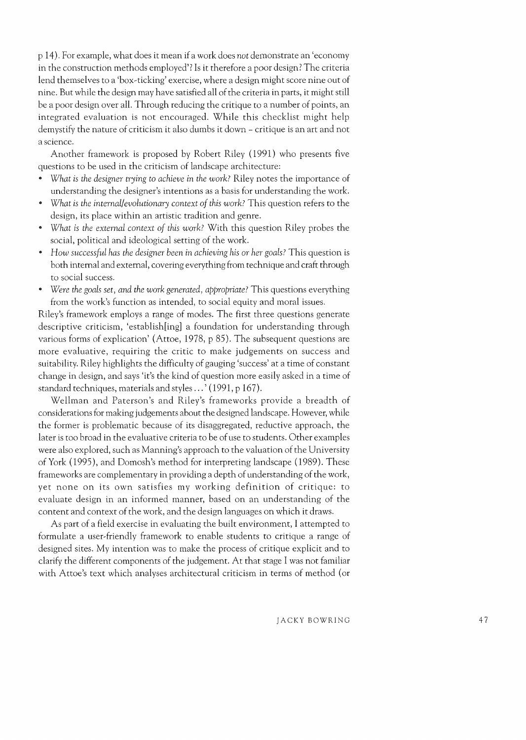p 14). For example, what does it mean if a work does *not* demonstrate an 'economy in the construction methods employed'? Is it therefore a poor design? The criteria lend themselves to a 'box-ticking' exercise, where a design might score nine out of nine. But while the design may have satisfied all of the criteria in parts, it might still be a poor design over all. Through reducing the critique to a number of points, an integrated evaluation is not encouraged. While this checklist might help demystify the nature of criticism it also dumbs it down - critique is an art and not a science.

Another framework is proposed by Robert Riley (1991) who presents five questions to be used in the criticism of landscape architecture:

- *What* is *the designer trying* to *achieve* in *the work?* Riley notes the importance of understanding the designer's intentions as a basis for understanding the work.
- *What* is *the internal/evolutionary context of this work?* This question refers to the design, its place within an artistic tradition and genre.
- <sup>o</sup>*What* is *the external context of this work?* With this question Riley probes the social, political and ideological setting of the work.
- *How successful has the designer been* in *achieving his or her goals?* This question is both internal and external, covering everything from technique and craft through to social success.
- *Were the goals set, and the work generated, appropriate?* This questions everything from the work's function as intended, to social equity and moral issues.

Riley's framework employs a range of modes. The first three questions generate descriptive criticism, 'establish[ing] a foundation for understanding through various forms of explication' (Attoe, 1978, p 85). The subsequent questions are more evaluative, requiring the critic to make judgements on success and suitability. Riley highlights the difficulty of gauging 'success' at a time of constant change in design, and says 'it's the kind of question more easily asked in a time of standard techniques, materials and styles ... ' (1991, p 167).

Wellman and Paterson's and Riley's frameworks provide a breadth of considerations for making judgements about the designed landscape. However, while the former is problematic because of its disaggregated, reductive approach, the later is too broad in the evaluative criteria to be of use to students. Other examples were also explored, such as Manning's approach to the valuation of the University of York (1995), and Domosh's method for interpreting landscape (1989). These frameworks are complementary in providing a depth of understanding of the work, yet none on its own satisfies my working definition of critique: to evaluate design in an informed manner, based on an understanding of the content and context of the work, and the design languages on which it draws.

As part of a field exercise in evaluating the built environment, I attempted to formulate a user-friendly framework to enable students to critique a range of designed sites. My intention was to make the process of critique explicit and to clarify the different components of the judgement. At that stage I was not familiar with Attoe's text which analyses architectural criticism in terms of method (or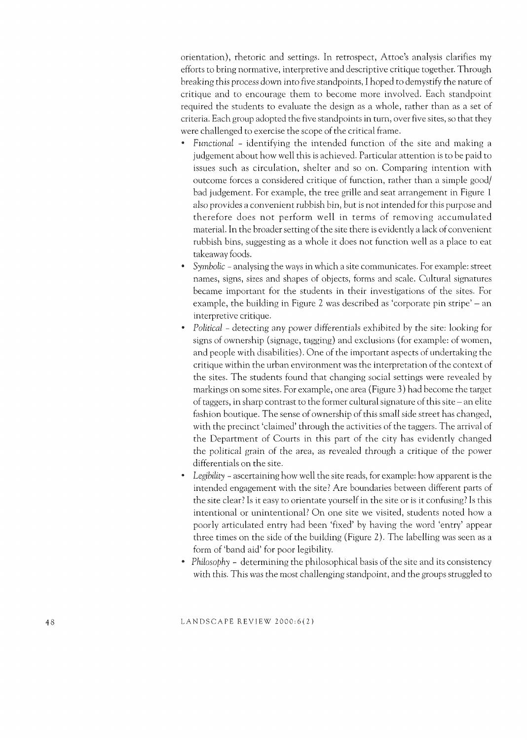orientation), rhetoric and settings. In retrospect, Attoe's analysis clarifies my efforts to bring normative, interpretive and descriptive critique together. Through breaking this process down into five standpoints, I hoped to demystify the nature of critique and to encourage them to become more involved. Each standpoint required the students to evaluate the design as a whole, rather than as a set of criteria. Each group adopted the five standpoints in turn, over five sites, so that they were challenged to exercise the scope of the critical frame.

- *Functional*  identifying the intended function of the site and making a judgement about how well this is achieved. Particular attention is to be paid to issues such as circulation, shelter and so on. Comparing intention with outcome forces a considered critique of function, rather than a simple good/ bad judgement. For example, the tree grille and seat arrangement in Figure 1 also provides a convenient rubbish bin, but is not intended for this purpose and therefore does not perform well in terms of removing accumulated material. In the broader setting of the site there is evidently a lack of convenient rubbish bins, suggesting as a whole it does not function well as a place to eat takeaway foods.
- *Symbolic*  analysing the ways in which a site communicates. For example: street names, signs, sizes and shapes of objects, forms and scale. Cultural signatures became important for the students in their investigations of the sites. For example, the building in Figure 2 was described as 'corporate pin stripe' – an interpretive critique.
- *Political*  detecting any power differentials exhibited by the site: looking for signs of ownership (signage, tagging) and exclusions (for example: of women, and people with disabilities). One of the important aspects of undertaking the critique within the urban environment was the interpretation of the context of the sites. The students found that changing social settings were revealed by markings on some sites. For example, one area (Figure 3) had become the target of taggers, in sharp contrast to the former cultural signature of this site – an elite fashion boutique. The sense of ownership of this small side street has changed, with the precinct 'claimed' through the activities of the taggers. The arrival of the Department of Courts in this part of the city has evidently changed the political grain of the area, as revealed through a critique of the power differentials on the site.
- *Legibility*  ascertaining how well the site reads, for example: how apparent is the intended engagement with the site? Are boundaries between different parts of the site clear? Is it easy to orientate yourself in the site or is it confusing? Is this intentional or unintentional? On one site we visited, students noted how a poor ly articulated entry had been 'fixed' by having the word 'entry' appear three times on the side of the building (Figure 2). The labelling was seen as a form of 'band aid' for poor legibility.
- *Philosophy*  determining the philosophical basis of the site and its consistency with this. This was the most challenging standpoint, and the groups struggled to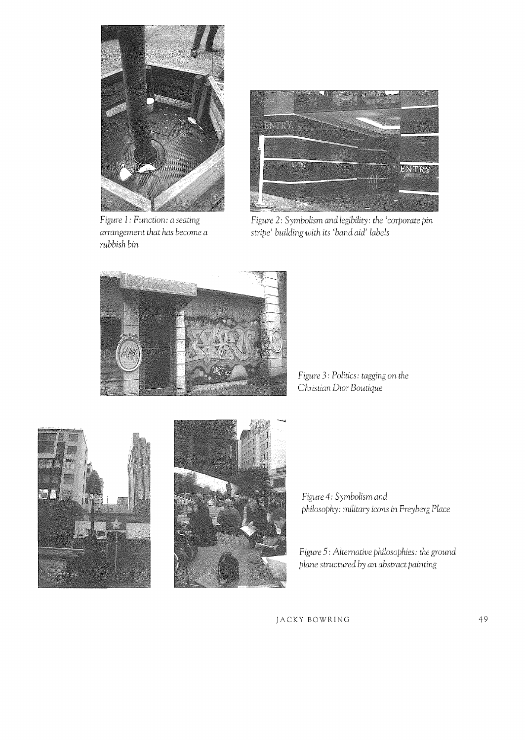

*Figure* 1: *Function: a seating arrangement that has become a rubbish bin* 



*Figure 2: Symbolism and legibility: the 'corporate pin stri/)e' building with its 'band aid' labels* 



*Figure* 3: *Politics: tagging* on *the Christian Dior Boutique* 





*Figure* 4: *Symbolism and /)hiloso/)hy: military* icons in *Freyberg Place* 

Figure 5: Alternative philosophies: the ground */)lane structured by an abstract /)ainting*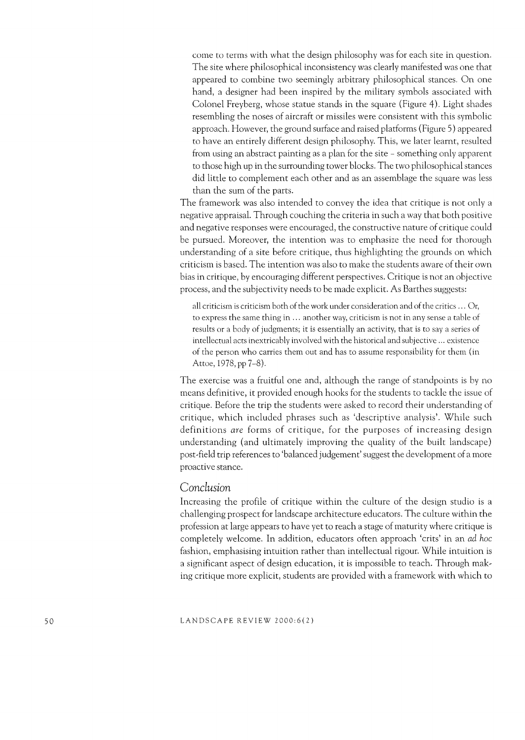come to terms with what the design philosophy was for each site in question. The site where philosophical inconsistency was clearly manifested was one that appeared to combine two seemingly arbitrary philosophical stances. On one hand, a designer had been inspired by the military symbols associated with Colonel Freyberg, whose statue stands in the square (Figure 4). Light shades resembling the noses of aircraft or missiles were consistent with this symbolic approach. However, the ground surface and raised platforms (Figure 5) appeared to have an entirely different design philosophy. This, we later learnt, resulted from using an abstract painting as a plan for the site - something only apparent to those high up in the surrounding tower blocks. The two philosophical stances did little to complement each other and as an assemblage the square was less than the sum of the parts.

The framework was also intended to convey the idea that critique is not only a negative appraisal. Through couching the criteria in such a way that both positive and negative responses were encouraged, the constructive nature of critique could be pursued. Moreover, the intention was to emphasize the need for thorough understanding of a site before critique, thus highlighting the grounds on which criticism is based. The intention was also to make the students aware of their own bias in critique, by encouraging different perspectives. Critique is not an objective process, and the subjectivity needs to be made explicit. As Barthes suggests:

all criticism is criticism both of the work under consideration and of the critics ... Or, to express the same thing in ... another way, criticism is not in any sense a table of results or a body of judgments; it is essentially an activity, that is to say a series of intellectual acts inextricably involved with the historical and subjective ... existence of the person who carries them out and has to assume responsibility for them (in Attoe, 1978, pp 7-8).

The exercise was a fruitful one and, although the range of standpoints is by no means definitive, it provided enough hooks for the students to tackle the issue of critique. Before the trip the students were asked to record their understanding of critique, which included phrases such as 'descriptive analysis'. While such definitions *are* forms of critique, for the purposes of increasing design understanding (and ultimately improving the quality of the built landscape) post-field trip references to 'balanced judgement' suggest the development of a more proactive stance.

### *Conclusion*

Increasing the profile of critique within the culture of the design studio is a challenging prospect for landscape architecture educators. The culture within the profession at large appears to have yet to reach a stage of maturity where critique is completely welcome. In addition, educators often approach 'crits' in an ad *hoc*  fashion, emphasising intuition rather than intellectual rigour. While intuition is a significant aspect of design education, it is impossible to teach. Through making critique more explicit, students are provided with a framework with which to

LANDSCAPE REVIEW 2000:6(2)